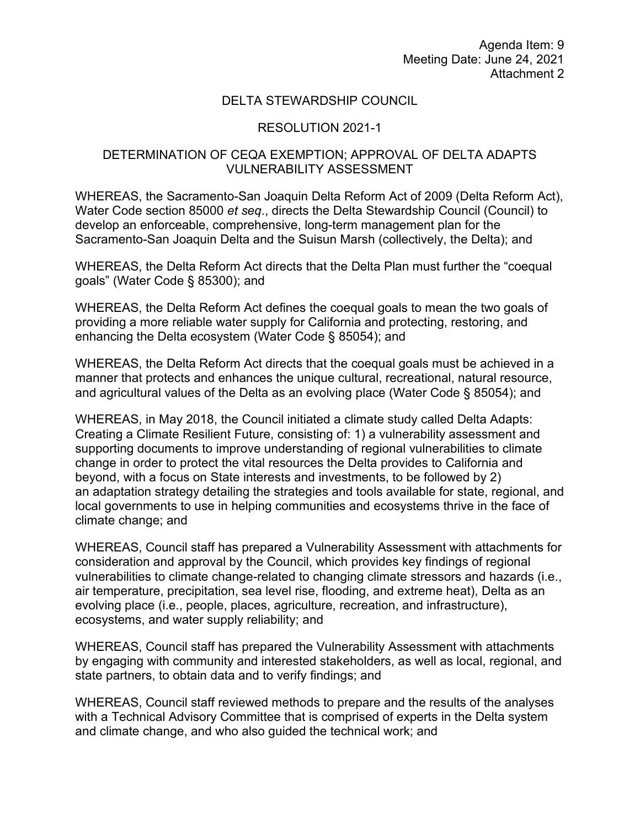Meeting Date: June 24, 2021 Attachment 2 Agenda Item: 9

## DELTA STEWARDSHIP COUNCIL

## RESOLUTION 2021-1

## DETERMINATION OF CEQA EXEMPTION; APPROVAL OF DELTA ADAPTS VULNERABILITY ASSESSMENT

WHEREAS, the Sacramento-San Joaquin Delta Reform Act of 2009 (Delta Reform Act), Water Code section 85000 *et seq*., directs the Delta Stewardship Council (Council) to develop an enforceable, comprehensive, long-term management plan for the Sacramento-San Joaquin Delta and the Suisun Marsh (collectively, the Delta); and

 WHEREAS, the Delta Reform Act directs that the Delta Plan must further the "coequal goals" (Water Code § 85300); and

 WHEREAS, the Delta Reform Act defines the coequal goals to mean the two goals of providing a more reliable water supply for California and protecting, restoring, and enhancing the Delta ecosystem (Water Code § 85054); and

 WHEREAS, the Delta Reform Act directs that the coequal goals must be achieved in a manner that protects and enhances the unique cultural, recreational, natural resource, and agricultural values of the Delta as an evolving place (Water Code § 85054); and

 Creating a Climate Resilient Future, consisting of: 1) a vulnerability assessment and an adaptation strategy detailing the strategies and tools available for state, regional, and WHEREAS, in May 2018, the Council initiated a climate study called Delta Adapts: supporting documents to improve understanding of regional vulnerabilities to climate change in order to protect the vital resources the Delta provides to California and beyond, with a focus on State interests and investments, to be followed by 2) local governments to use in helping communities and ecosystems thrive in the face of climate change; and

 consideration and approval by the Council, which provides key findings of regional evolving place (i.e., people, places, agriculture, recreation, and infrastructure), WHEREAS, Council staff has prepared a Vulnerability Assessment with attachments for vulnerabilities to climate change-related to changing climate stressors and hazards (i.e., air temperature, precipitation, sea level rise, flooding, and extreme heat), Delta as an ecosystems, and water supply reliability; and

state partners, to obtain data and to verify findings; and WHEREAS, Council staff has prepared the Vulnerability Assessment with attachments by engaging with community and interested stakeholders, as well as local, regional, and

WHEREAS, Council staff reviewed methods to prepare and the results of the analyses with a Technical Advisory Committee that is comprised of experts in the Delta system and climate change, and who also guided the technical work; and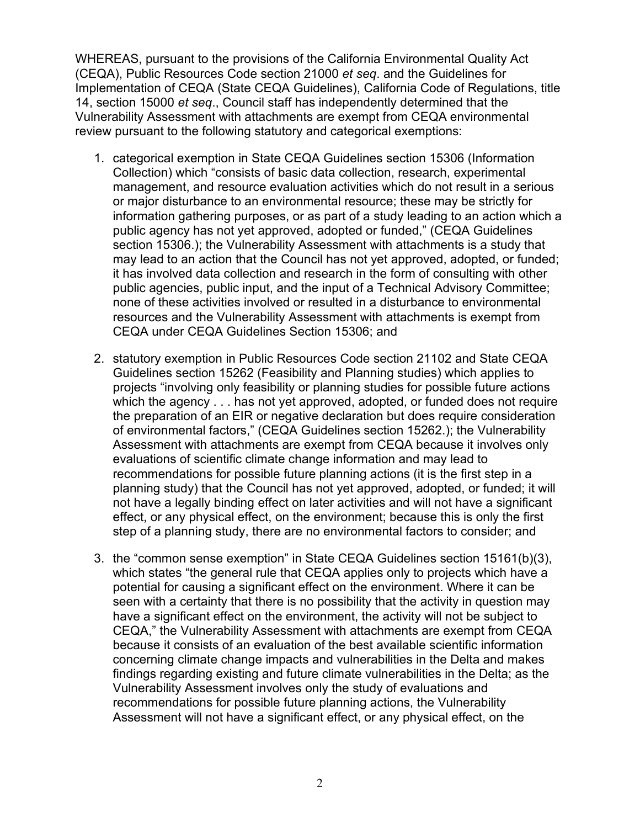WHEREAS, pursuant to the provisions of the California Environmental Quality Act (CEQA), Public Resources Code section 21000 *et seq*. and the Guidelines for 14, section 15000 *et seq*., Council staff has independently determined that the Vulnerability Assessment with attachments are exempt from CEQA environmental Implementation of CEQA (State CEQA Guidelines), California Code of Regulations, title review pursuant to the following statutory and categorical exemptions:

- 1. categorical exemption in State CEQA Guidelines section 15306 (Information Collection) which "consists of basic data collection, research, experimental information gathering purposes, or as part of a study leading to an action which a management, and resource evaluation activities which do not result in a serious or major disturbance to an environmental resource; these may be strictly for public agency has not yet approved, adopted or funded," (CEQA Guidelines section 15306.); the Vulnerability Assessment with attachments is a study that may lead to an action that the Council has not yet approved, adopted, or funded; it has involved data collection and research in the form of consulting with other public agencies, public input, and the input of a Technical Advisory Committee; none of these activities involved or resulted in a disturbance to environmental resources and the Vulnerability Assessment with attachments is exempt from CEQA under CEQA Guidelines Section 15306; and
- which the agency . . . has not yet approved, adopted, or funded does not require Assessment with attachments are exempt from CEQA because it involves only planning study) that the Council has not yet approved, adopted, or funded; it will 2. statutory exemption in Public Resources Code section 21102 and State CEQA Guidelines section 15262 (Feasibility and Planning studies) which applies to projects "involving only feasibility or planning studies for possible future actions the preparation of an EIR or negative declaration but does require consideration of environmental factors," (CEQA Guidelines section 15262.); the Vulnerability evaluations of scientific climate change information and may lead to recommendations for possible future planning actions (it is the first step in a not have a legally binding effect on later activities and will not have a significant effect, or any physical effect, on the environment; because this is only the first step of a planning study, there are no environmental factors to consider; and
- Assessment will not have a significant effect, or any physical effect, on the 3. the "common sense exemption" in State CEQA Guidelines section 15161(b)(3), which states "the general rule that CEQA applies only to projects which have a potential for causing a significant effect on the environment. Where it can be seen with a certainty that there is no possibility that the activity in question may have a significant effect on the environment, the activity will not be subject to CEQA," the Vulnerability Assessment with attachments are exempt from CEQA because it consists of an evaluation of the best available scientific information concerning climate change impacts and vulnerabilities in the Delta and makes findings regarding existing and future climate vulnerabilities in the Delta; as the Vulnerability Assessment involves only the study of evaluations and recommendations for possible future planning actions, the Vulnerability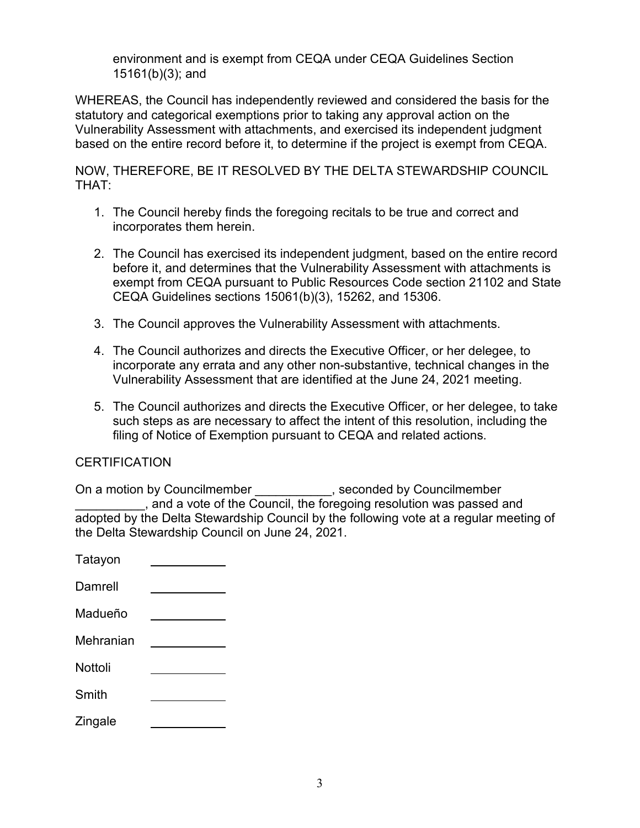environment and is exempt from CEQA under CEQA Guidelines Section 15161(b)(3); and

WHEREAS, the Council has independently reviewed and considered the basis for the statutory and categorical exemptions prior to taking any approval action on the Vulnerability Assessment with attachments, and exercised its independent judgment based on the entire record before it, to determine if the project is exempt from CEQA.

NOW, THEREFORE, BE IT RESOLVED BY THE DELTA STEWARDSHIP COUNCIL THAT:

- 1. The Council hereby finds the foregoing recitals to be true and correct and incorporates them herein.
- 2. The Council has exercised its independent judgment, based on the entire record before it, and determines that the Vulnerability Assessment with attachments is exempt from CEQA pursuant to Public Resources Code section 21102 and State CEQA Guidelines sections 15061(b)(3), 15262, and 15306.
- 3. The Council approves the Vulnerability Assessment with attachments.
- 4. The Council authorizes and directs the Executive Officer, or her delegee, to Vulnerability Assessment that are identified at the June 24, 2021 meeting. incorporate any errata and any other non-substantive, technical changes in the
- 5. The Council authorizes and directs the Executive Officer, or her delegee, to take filing of Notice of Exemption pursuant to CEQA and related actions. such steps as are necessary to affect the intent of this resolution, including the

## **CERTIFICATION**

On a motion by Councilmember \_\_\_\_\_\_\_\_\_\_\_, seconded by Councilmember \_\_\_\_\_\_\_\_\_\_, and a vote of the Council, the foregoing resolution was passed and adopted by the Delta Stewardship Council by the following vote at a regular meeting of the Delta Stewardship Council on June 24, 2021.

| Tatayon   |  |
|-----------|--|
| Damrell   |  |
| Madueño   |  |
| Mehranian |  |
| Nottoli   |  |
| Smith     |  |
| Zingale   |  |
|           |  |